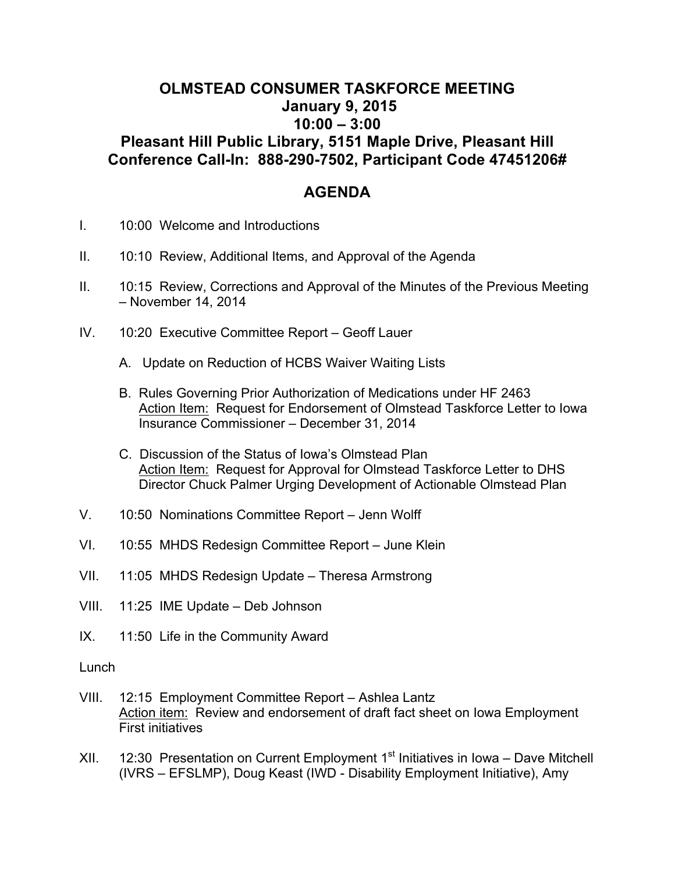## **OLMSTEAD CONSUMER TASKFORCE MEETING January 9, 2015 10:00 – 3:00 Pleasant Hill Public Library, 5151 Maple Drive, Pleasant Hill Conference Call-In: 888-290-7502, Participant Code 47451206#**

## **AGENDA**

- I. 10:00 Welcome and Introductions
- II. 10:10 Review, Additional Items, and Approval of the Agenda
- II. 10:15 Review, Corrections and Approval of the Minutes of the Previous Meeting – November 14, 2014
- IV. 10:20 Executive Committee Report Geoff Lauer
	- A. Update on Reduction of HCBS Waiver Waiting Lists
	- B. Rules Governing Prior Authorization of Medications under HF 2463 Action Item: Request for Endorsement of Olmstead Taskforce Letter to Iowa Insurance Commissioner – December 31, 2014
	- C. Discussion of the Status of Iowa's Olmstead Plan Action Item: Request for Approval for Olmstead Taskforce Letter to DHS Director Chuck Palmer Urging Development of Actionable Olmstead Plan
- V. 10:50 Nominations Committee Report Jenn Wolff
- VI. 10:55 MHDS Redesign Committee Report June Klein
- VII. 11:05 MHDS Redesign Update Theresa Armstrong
- VIII. 11:25 IME Update Deb Johnson
- IX. 11:50 Life in the Community Award

Lunch

- VIII. 12:15 Employment Committee Report Ashlea Lantz Action item: Review and endorsement of draft fact sheet on Iowa Employment First initiatives
- XII. 12:30 Presentation on Current Employment  $1<sup>st</sup>$  Initiatives in Iowa Dave Mitchell (IVRS – EFSLMP), Doug Keast (IWD - Disability Employment Initiative), Amy